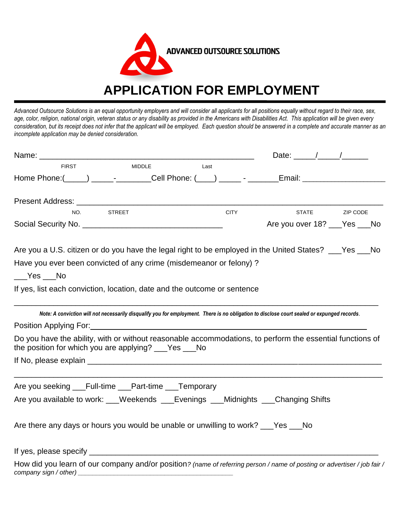

*Advanced Outsource Solutions is an equal opportunity employers and will consider all applicants for all positions equally without regard to their race, sex, age, color, religion, national origin, veteran status or any disability as provided in the Americans with Disabilities Act. This application will be given every consideration, but its receipt does not infer that the applicant will be employed. Each question should be answered in a complete and accurate manner as an incomplete application may be denied consideration.* 

|                                                                                                                                                                    |             | Date: $\sqrt{1-\frac{1}{2}}$  |  |
|--------------------------------------------------------------------------------------------------------------------------------------------------------------------|-------------|-------------------------------|--|
| <b>FIRST</b><br><b>MIDDLE</b>                                                                                                                                      | Last        |                               |  |
|                                                                                                                                                                    |             |                               |  |
|                                                                                                                                                                    |             |                               |  |
| NO. STREET                                                                                                                                                         | <b>CITY</b> | STATE ZIP CODE                |  |
|                                                                                                                                                                    |             | Are you over 18? ___Yes ___No |  |
|                                                                                                                                                                    |             |                               |  |
| Are you a U.S. citizen or do you have the legal right to be employed in the United States? ___Yes ___No                                                            |             |                               |  |
| Have you ever been convicted of any crime (misdemeanor or felony)?                                                                                                 |             |                               |  |
| No Ves No                                                                                                                                                          |             |                               |  |
| If yes, list each conviction, location, date and the outcome or sentence                                                                                           |             |                               |  |
|                                                                                                                                                                    |             |                               |  |
| Note: A conviction will not necessarily disqualify you for employment. There is no obligation to disclose court sealed or expunged records.                        |             |                               |  |
|                                                                                                                                                                    |             |                               |  |
| Do you have the ability, with or without reasonable accommodations, to perform the essential functions of<br>the position for which you are applying? ___Yes ___No |             |                               |  |
|                                                                                                                                                                    |             |                               |  |
| Are you seeking ___Full-time ___Part-time ___Temporary                                                                                                             |             |                               |  |
| Are you available to work: ___Weekends ___Evenings ___Midnights ___Changing Shifts                                                                                 |             |                               |  |
|                                                                                                                                                                    |             |                               |  |
| Are there any days or hours you would be unable or unwilling to work? ___Yes ___No                                                                                 |             |                               |  |
|                                                                                                                                                                    |             |                               |  |
| $How did you learn of our company and/or position 2 (name of rofering person / nom of position or odvortios (ioh foir /$                                           |             |                               |  |

How did you learn of our company and/or position? (name of referring person / name of posting or advertiser / job fair / *company sign / other)*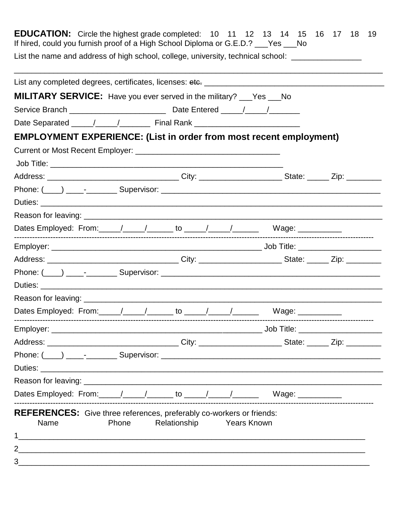| <b>EDUCATION:</b> Circle the highest grade completed: 10 11 12 13 14 15 16 17 18 19<br>If hired, could you furnish proof of a High School Diploma or G.E.D.? ___Yes ___No |                    |  |
|---------------------------------------------------------------------------------------------------------------------------------------------------------------------------|--------------------|--|
| List the name and address of high school, college, university, technical school: __________________                                                                       |                    |  |
|                                                                                                                                                                           |                    |  |
| <b>MILITARY SERVICE:</b> Have you ever served in the military? ___Yes ___No                                                                                               |                    |  |
|                                                                                                                                                                           |                    |  |
|                                                                                                                                                                           |                    |  |
| <b>EMPLOYMENT EXPERIENCE: (List in order from most recent employment)</b>                                                                                                 |                    |  |
|                                                                                                                                                                           |                    |  |
|                                                                                                                                                                           |                    |  |
|                                                                                                                                                                           |                    |  |
|                                                                                                                                                                           |                    |  |
|                                                                                                                                                                           |                    |  |
|                                                                                                                                                                           |                    |  |
|                                                                                                                                                                           |                    |  |
|                                                                                                                                                                           |                    |  |
|                                                                                                                                                                           |                    |  |
|                                                                                                                                                                           |                    |  |
|                                                                                                                                                                           |                    |  |
|                                                                                                                                                                           |                    |  |
|                                                                                                                                                                           |                    |  |
|                                                                                                                                                                           |                    |  |
|                                                                                                                                                                           |                    |  |
|                                                                                                                                                                           |                    |  |
|                                                                                                                                                                           |                    |  |
|                                                                                                                                                                           |                    |  |
|                                                                                                                                                                           |                    |  |
| REFERENCES: Give three references, preferably co-workers or friends:<br>Relationship<br>Name<br>Phone                                                                     | <b>Years Known</b> |  |
|                                                                                                                                                                           |                    |  |
| $\overline{2}$                                                                                                                                                            |                    |  |
|                                                                                                                                                                           |                    |  |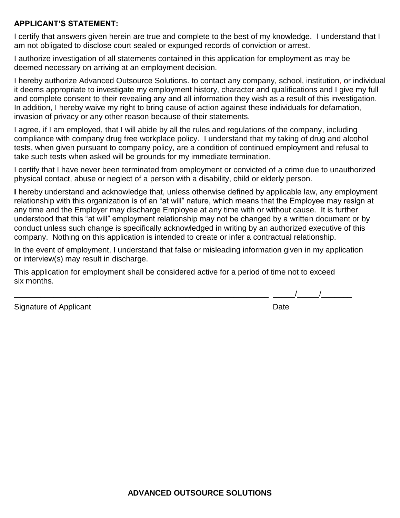## **APPLICANT'S STATEMENT:**

I certify that answers given herein are true and complete to the best of my knowledge. I understand that I am not obligated to disclose court sealed or expunged records of conviction or arrest.

I authorize investigation of all statements contained in this application for employment as may be deemed necessary on arriving at an employment decision.

I hereby authorize Advanced Outsource Solutions. to contact any company, school, institution, or individual it deems appropriate to investigate my employment history, character and qualifications and I give my full and complete consent to their revealing any and all information they wish as a result of this investigation. In addition, I hereby waive my right to bring cause of action against these individuals for defamation, invasion of privacy or any other reason because of their statements.

I agree, if I am employed, that I will abide by all the rules and regulations of the company, including compliance with company drug free workplace policy. I understand that my taking of drug and alcohol tests, when given pursuant to company policy, are a condition of continued employment and refusal to take such tests when asked will be grounds for my immediate termination.

I certify that I have never been terminated from employment or convicted of a crime due to unauthorized physical contact, abuse or neglect of a person with a disability, child or elderly person.

**I** hereby understand and acknowledge that, unless otherwise defined by applicable law, any employment relationship with this organization is of an "at will" nature, which means that the Employee may resign at any time and the Employer may discharge Employee at any time with or without cause. It is further understood that this "at will" employment relationship may not be changed by a written document or by conduct unless such change is specifically acknowledged in writing by an authorized executive of this company. Nothing on this application is intended to create or infer a contractual relationship.

In the event of employment, I understand that false or misleading information given in my application or interview(s) may result in discharge.

This application for employment shall be considered active for a period of time not to exceed six months.

Signature of Applicant Date **Date** 

 $\frac{1}{2}$   $\frac{1}{2}$   $\frac{1}{2}$   $\frac{1}{2}$   $\frac{1}{2}$   $\frac{1}{2}$   $\frac{1}{2}$   $\frac{1}{2}$   $\frac{1}{2}$   $\frac{1}{2}$   $\frac{1}{2}$   $\frac{1}{2}$   $\frac{1}{2}$   $\frac{1}{2}$   $\frac{1}{2}$   $\frac{1}{2}$   $\frac{1}{2}$   $\frac{1}{2}$   $\frac{1}{2}$   $\frac{1}{2}$   $\frac{1}{2}$   $\frac{1}{2}$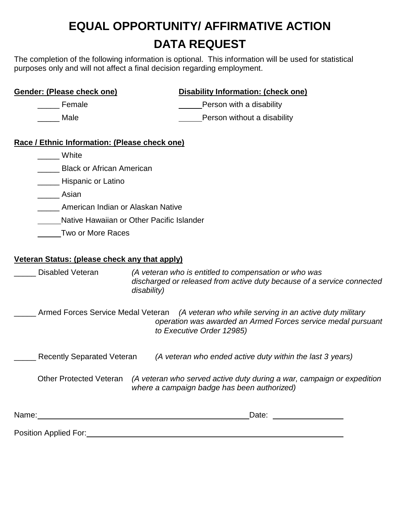## **EQUAL OPPORTUNITY/ AFFIRMATIVE ACTION DATA REQUEST**

The completion of the following information is optional. This information will be used for statistical purposes only and will not affect a final decision regarding employment.

**Gender: (Please check one) Disability Information: (check one)**

| Female                                                                   |             | Person with a disability                                                                                                                             |  |  |
|--------------------------------------------------------------------------|-------------|------------------------------------------------------------------------------------------------------------------------------------------------------|--|--|
| Male                                                                     |             | Person without a disability                                                                                                                          |  |  |
| Race / Ethnic Information: (Please check one)                            |             |                                                                                                                                                      |  |  |
| White                                                                    |             |                                                                                                                                                      |  |  |
| <b>Black or African American</b>                                         |             |                                                                                                                                                      |  |  |
| __ Hispanic or Latino                                                    |             |                                                                                                                                                      |  |  |
| Asian                                                                    |             |                                                                                                                                                      |  |  |
| American Indian or Alaskan Native                                        |             |                                                                                                                                                      |  |  |
| Native Hawaiian or Other Pacific Islander                                |             |                                                                                                                                                      |  |  |
| Two or More Races                                                        |             |                                                                                                                                                      |  |  |
| Veteran Status: (please check any that apply)<br><b>Disabled Veteran</b> | disability) | (A veteran who is entitled to compensation or who was<br>discharged or released from active duty because of a service connected                      |  |  |
| Armed Forces Service Medal Veteran                                       |             | (A veteran who while serving in an active duty military<br>operation was awarded an Armed Forces service medal pursuant<br>to Executive Order 12985) |  |  |
| <b>Recently Separated Veteran</b>                                        |             | (A veteran who ended active duty within the last 3 years)                                                                                            |  |  |
| <b>Other Protected Veteran</b>                                           |             | (A veteran who served active duty during a war, campaign or expedition<br>where a campaign badge has been authorized)                                |  |  |
| Name:                                                                    |             | Date:                                                                                                                                                |  |  |

Position Applied For: Manual According to the Applied Service of Applied Service Contract on the Application of Application of Application of Application of Application of Application of Application of Application of Appli